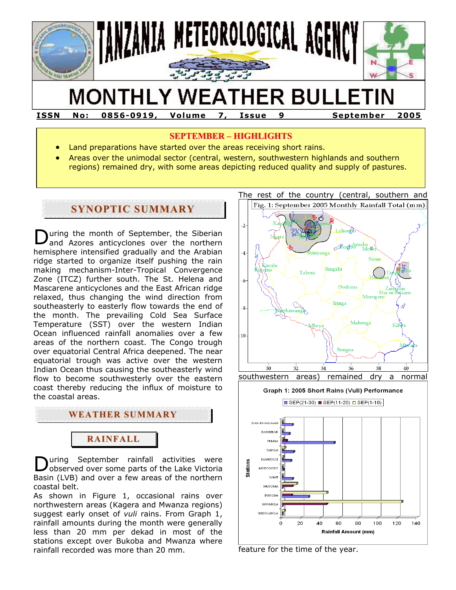

# **MONTHLY WEATHER BULLETIN**

**ISSN No: 0856-0919, Volume 7, Issue 9 September 2005** 

## **SEPTEMBER – HIGHLIGHTS**

- Land preparations have started over the areas receiving short rains.
- Areas over the unimodal sector (central, western, southwestern highlands and southern regions) remained dry, with some areas depicting reduced quality and supply of pastures.

## **SYNOPTIC SUMMARY**

uring the month of September, the Siberian and Azores anticyclones over the northern hemisphere intensified gradually and the Arabian ridge started to organize itself pushing the rain making mechanism-Inter-Tropical Convergence Zone (ITCZ) further south. The St. Helena and Mascarene anticyclones and the East African ridge relaxed, thus changing the wind direction from southeasterly to easterly flow towards the end of the month. The prevailing Cold Sea Surface Temperature (SST) over the western Indian Ocean influenced rainfall anomalies over a few areas of the northern coast. The Congo trough over equatorial Central Africa deepened. The near equatorial trough was active over the western Indian Ocean thus causing the southeasterly wind flow to become southwesterly over the eastern coast thereby reducing the influx of moisture to the coastal areas. D



## **RAINFALL**

uring September rainfall activities were observed over some parts of the Lake Victoria Basin (LVB) and over a few areas of the northern coastal belt. D

As shown in Figure 1, occasional rains over northwestern areas (Kagera and Mwanza regions) suggest early onset of *vuli* rains. From Graph 1, rainfall amounts during the month were generally less than 20 mm per dekad in most of the stations except over Bukoba and Mwanza where rainfall recorded was more than 20 mm.



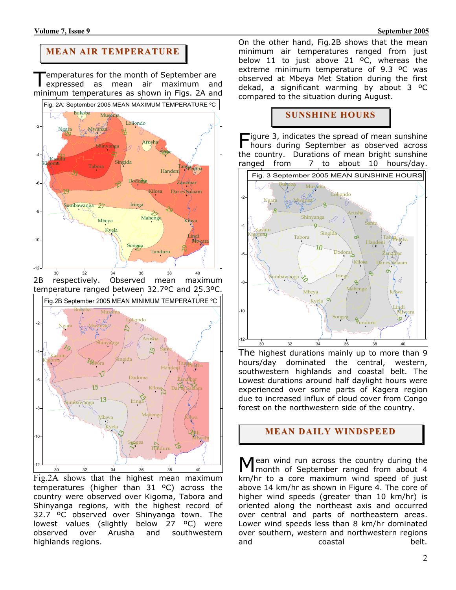## **MEAN AIR TEMPERATURE**

emperatures for the month of September are expressed as mean air maximum and minimum temperatures as shown in Figs. 2A and T



Fig.2A shows that the highest mean maximum temperatures (higher than 31 ºC) across the country were observed over Kigoma, Tabora and Shinyanga regions, with the highest record of 32.7 ºC observed over Shinyanga town. The lowest values (slightly below 27 ºC) were observed over Arusha and southwestern highlands regions.

On the other hand, Fig.2B shows that the mean minimum air temperatures ranged from just below 11 to just above 21  $^{\circ}$ C, whereas the extreme minimum temperature of 9.3 ºC was observed at Mbeya Met Station during the first dekad, a significant warming by about 3 ºC compared to the situation during August.

## **SUNSHINE HOURS**

igure 3, indicates the spread of mean sunshine Figure 3, indicates the spread of mean sunshine<br>hours during September as observed across the country. Durations of mean bright sunshine ranged from 7 to about 10 hours/day.



The highest durations mainly up to more than 9 hours/day dominated the central, western, southwestern highlands and coastal belt. The Lowest durations around half daylight hours were experienced over some parts of Kagera region due to increased influx of cloud cover from Congo forest on the northwestern side of the country.

## **MEAN DAILY WINDSPEED**

ean wind run across the country during the month of September ranged from about 4 km/hr to a core maximum wind speed of just above 14 km/hr as shown in Figure 4. The core of higher wind speeds (greater than 10 km/hr) is oriented along the northeast axis and occurred over central and parts of northeastern areas. Lower wind speeds less than 8 km/hr dominated over southern, western and northwestern regions and coastal belt. M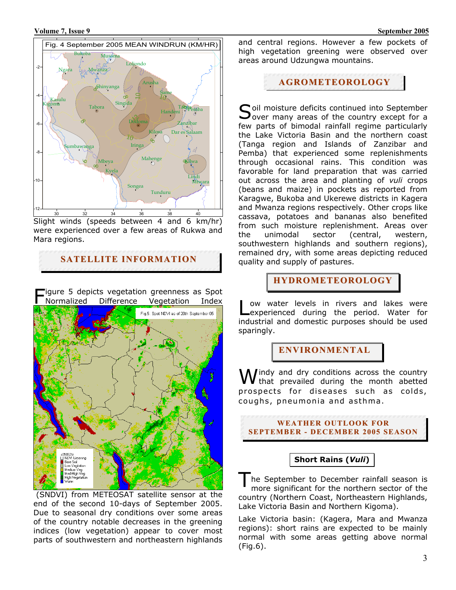#### **Volume 7, Issue 9** September 2005



Slight winds (speeds between 4 and 6 km/hr) were experienced over a few areas of Rukwa and Mara regions.

## **SATELLITE INFORMATION**

igure 5 depicts vegetation greenness as Spot Normalized Difference Vegetation Index F



 (SNDVI) from METEOSAT satellite sensor at the end of the second 10-days of September 2005. Due to seasonal dry conditions over some areas of the country notable decreases in the greening indices (low vegetation) appear to cover most parts of southwestern and northeastern highlands and central regions. However a few pockets of high vegetation greening were observed over areas around Udzungwa mountains.

## **AGROMETEOROLOGY**

 $S<sub>o</sub>$  oil moisture deficits continued into September over many areas of the country except for a  $\mathbf{\mathcal{S}}$  over many areas of the country except for a few parts of bimodal rainfall regime particularly the Lake Victoria Basin and the northern coast (Tanga region and Islands of Zanzibar and Pemba) that experienced some replenishments through occasional rains. This condition was favorable for land preparation that was carried out across the area and planting of *vuli* crops (beans and maize) in pockets as reported from Karagwe, Bukoba and Ukerewe districts in Kagera and Mwanza regions respectively. Other crops like cassava, potatoes and bananas also benefited from such moisture replenishment. Areas over the unimodal sector (central, western, southwestern highlands and southern regions), remained dry, with some areas depicting reduced quality and supply of pastures.

**HYDROMETEOROLOGY**

ow water levels in rivers and lakes were Low water levels in rivers and lakes were<br>Lexperienced during the period. Water for industrial and domestic purposes should be used sparingly.

## **ENVIRONMENTAL**

indy and dry conditions across the country **W** indy and dry conditions across the country<br>
W that prevailed during the month abetted prospects for diseases such as colds, coughs, pneumonia and asthma.

**WEATHER OUTLOOK FOR SEPTEMBER - DECEMBER 2005 SEASON**

### **Short Rains (***Vuli***)**

he September to December rainfall season is more significant for the northern sector of the country (Northern Coast, Northeastern Highlands, Lake Victoria Basin and Northern Kigoma). T

Lake Victoria basin: (Kagera, Mara and Mwanza regions): short rains are expected to be mainly normal with some areas getting above normal (Fig.6).